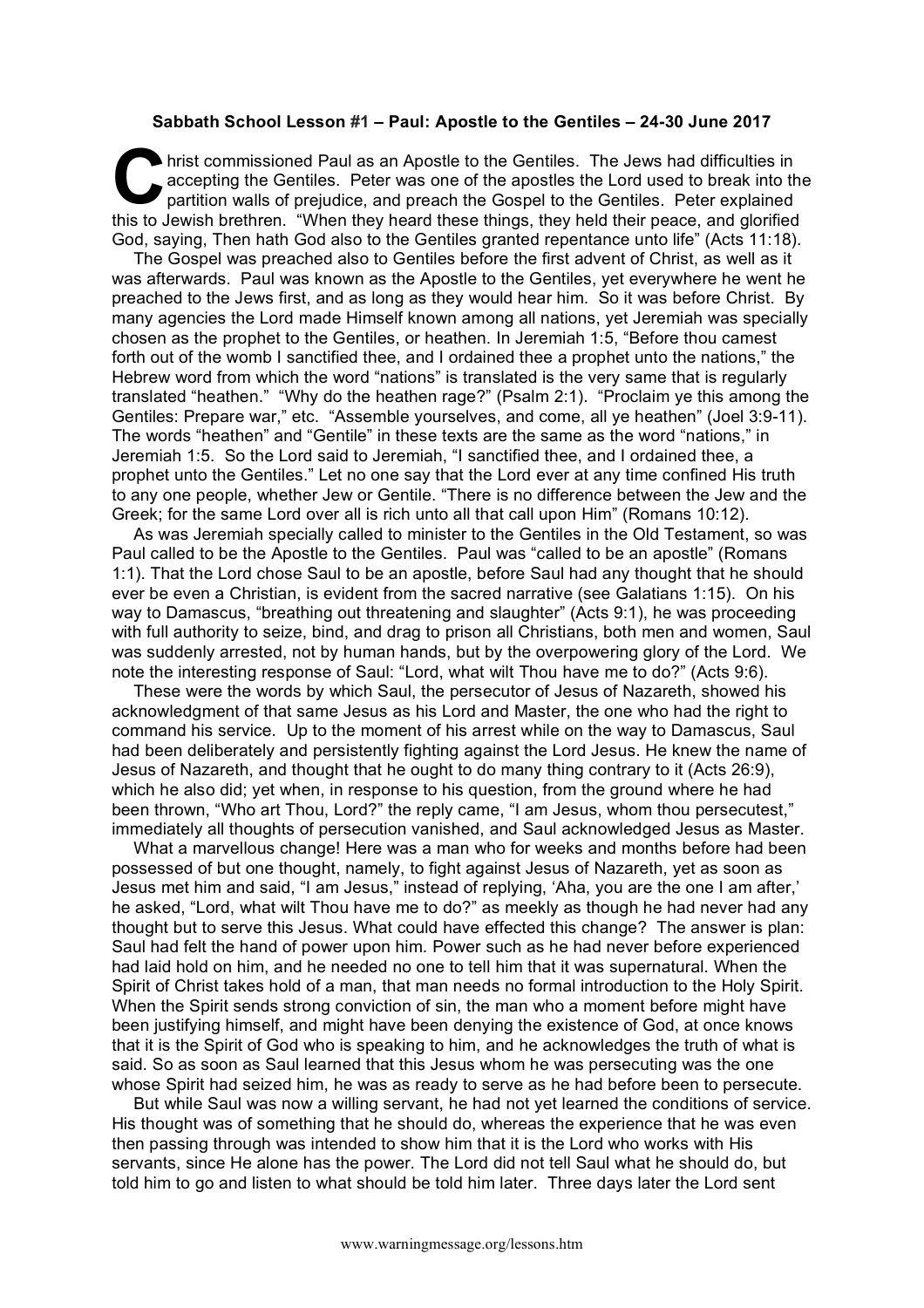## **Sabbath School Lesson #1 – Paul: Apostle to the Gentiles – 24-30 June 2017**

hrist commissioned Paul as an Apostle to the Gentiles. The Jews had difficulties in accepting the Gentiles. Peter was one of the apostles the Lord used to break into the partition walls of prejudice, and preach the Gospel accepting the Gentiles. Peter was one of the apostles the Lord used to break into the partition walls of prejudice, and preach the Gospel to the Gentiles. Peter explained this to Jewish brethren. "When they heard these things, they held their peace, and glorified God, saying, Then hath God also to the Gentiles granted repentance unto life" (Acts 11:18).

The Gospel was preached also to Gentiles before the first advent of Christ, as well as it was afterwards. Paul was known as the Apostle to the Gentiles, yet everywhere he went he preached to the Jews first, and as long as they would hear him. So it was before Christ. By many agencies the Lord made Himself known among all nations, yet Jeremiah was specially chosen as the prophet to the Gentiles, or heathen. In Jeremiah 1:5, "Before thou camest forth out of the womb I sanctified thee, and I ordained thee a prophet unto the nations," the Hebrew word from which the word "nations" is translated is the very same that is regularly translated "heathen." "Why do the heathen rage?" (Psalm 2:1). "Proclaim ye this among the Gentiles: Prepare war," etc. "Assemble yourselves, and come, all ye heathen" (Joel 3:9-11). The words "heathen" and "Gentile" in these texts are the same as the word "nations," in Jeremiah 1:5. So the Lord said to Jeremiah, "I sanctified thee, and I ordained thee, a prophet unto the Gentiles." Let no one say that the Lord ever at any time confined His truth to any one people, whether Jew or Gentile. "There is no difference between the Jew and the Greek; for the same Lord over all is rich unto all that call upon Him" (Romans 10:12).

As was Jeremiah specially called to minister to the Gentiles in the Old Testament, so was Paul called to be the Apostle to the Gentiles. Paul was "called to be an apostle" (Romans 1:1). That the Lord chose Saul to be an apostle, before Saul had any thought that he should ever be even a Christian, is evident from the sacred narrative (see Galatians 1:15). On his way to Damascus, "breathing out threatening and slaughter" (Acts 9:1), he was proceeding with full authority to seize, bind, and drag to prison all Christians, both men and women, Saul was suddenly arrested, not by human hands, but by the overpowering glory of the Lord. We note the interesting response of Saul: "Lord, what wilt Thou have me to do?" (Acts 9:6).

These were the words by which Saul, the persecutor of Jesus of Nazareth, showed his acknowledgment of that same Jesus as his Lord and Master, the one who had the right to command his service. Up to the moment of his arrest while on the way to Damascus, Saul had been deliberately and persistently fighting against the Lord Jesus. He knew the name of Jesus of Nazareth, and thought that he ought to do many thing contrary to it (Acts 26:9), which he also did; yet when, in response to his question, from the ground where he had been thrown, "Who art Thou, Lord?" the reply came, "I am Jesus, whom thou persecutest," immediately all thoughts of persecution vanished, and Saul acknowledged Jesus as Master.

What a marvellous change! Here was a man who for weeks and months before had been possessed of but one thought, namely, to fight against Jesus of Nazareth, yet as soon as Jesus met him and said, "I am Jesus," instead of replying, 'Aha, you are the one I am after,' he asked, "Lord, what wilt Thou have me to do?" as meekly as though he had never had any thought but to serve this Jesus. What could have effected this change? The answer is plan: Saul had felt the hand of power upon him. Power such as he had never before experienced had laid hold on him, and he needed no one to tell him that it was supernatural. When the Spirit of Christ takes hold of a man, that man needs no formal introduction to the Holy Spirit. When the Spirit sends strong conviction of sin, the man who a moment before might have been justifying himself, and might have been denying the existence of God, at once knows that it is the Spirit of God who is speaking to him, and he acknowledges the truth of what is said. So as soon as Saul learned that this Jesus whom he was persecuting was the one whose Spirit had seized him, he was as ready to serve as he had before been to persecute.

But while Saul was now a willing servant, he had not yet learned the conditions of service. His thought was of something that he should do, whereas the experience that he was even then passing through was intended to show him that it is the Lord who works with His servants, since He alone has the power. The Lord did not tell Saul what he should do, but told him to go and listen to what should be told him later. Three days later the Lord sent